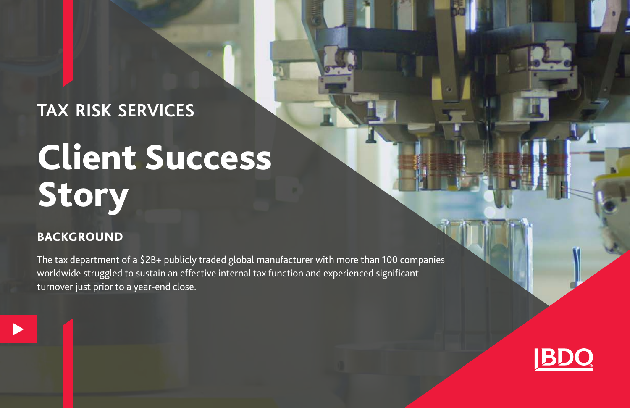### **TAX RISK SERVICES**

# Client Success Story

### BACKGROUND

 $\blacktriangleright$ 

The tax department of a \$2B+ publicly traded global manufacturer with more than 100 companies worldwide struggled to sustain an effective internal tax function and experienced significant turnover just prior to a year-end close.

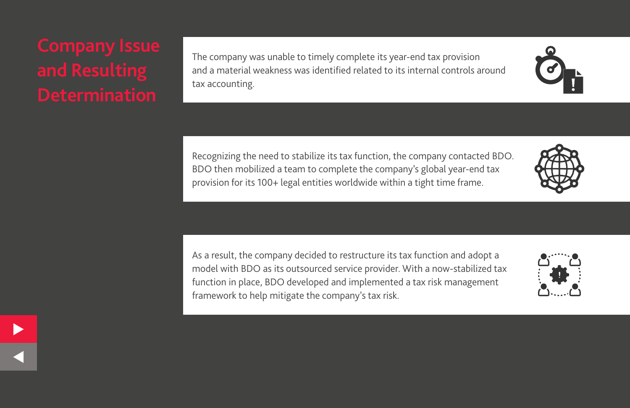$\blacktriangleright$ 

 $\leq$ 

The company was unable to timely complete its year-end tax provision and a material weakness was identified related to its internal controls around tax accounting.

Recognizing the need to stabilize its tax function, the company contacted BDO. BDO then mobilized a team to complete the company's global year-end tax provision for its 100+ legal entities worldwide within a tight time frame.

As a result, the company decided to restructure its tax function and adopt a model with BDO as its outsourced service provider. With a now-stabilized tax function in place, BDO developed and implemented a tax risk management framework to help mitigate the company's tax risk.



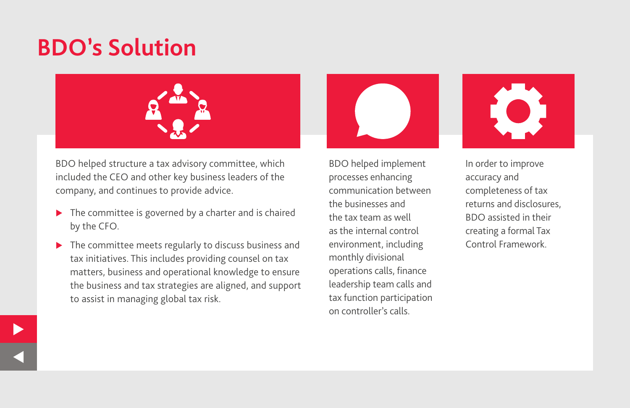### **BDO's Solution**



BDO helped structure a tax advisory committee, which included the CEO and other key business leaders of the company, and continues to provide advice.

- $\blacktriangleright$  The committee is governed by a charter and is chaired by the CFO.
- $\blacktriangleright$  The committee meets regularly to discuss business and tax initiatives. This includes providing counsel on tax matters, business and operational knowledge to ensure the business and tax strategies are aligned, and support to assist in managing global tax risk.

BDO helped implement processes enhancing communication between the businesses and the tax team as well as the internal control environment, including monthly divisional operations calls, finance leadership team calls and tax function participation on controller's calls.



In order to improve accuracy and completeness of tax returns and disclosures, BDO assisted in their creating a formal Tax Control Framework.